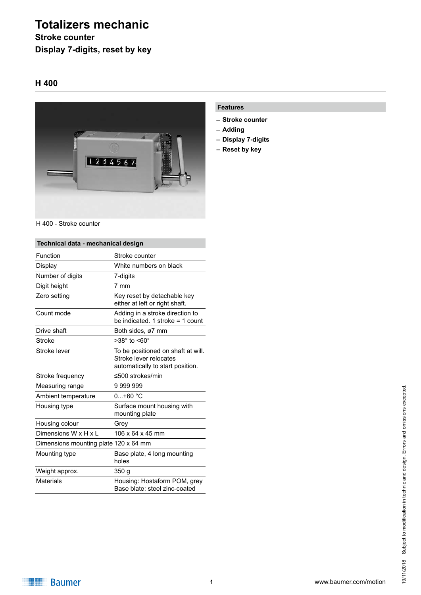# **Totalizers mechanic**

**Stroke counter Display 7-digits, reset by key**

### **H 400**



H 400 - Stroke counter

| Technical data - mechanical design    |                                                                                                  |
|---------------------------------------|--------------------------------------------------------------------------------------------------|
| Function                              | Stroke counter                                                                                   |
| Display                               | White numbers on black                                                                           |
| Number of digits                      | 7-digits                                                                                         |
| Digit height                          | $7 \text{ mm}$                                                                                   |
| Zero setting                          | Key reset by detachable key<br>either at left or right shaft.                                    |
| Count mode                            | Adding in a stroke direction to<br>be indicated. 1 stroke $=$ 1 count                            |
| Drive shaft                           | Both sides, ø7 mm                                                                                |
| Stroke                                | >38° to <60°                                                                                     |
| Stroke lever                          | To be positioned on shaft at will.<br>Stroke lever relocates<br>automatically to start position. |
| Stroke frequency                      | ≤500 strokes/min                                                                                 |
| Measuring range                       | 9 999 999                                                                                        |
| Ambient temperature                   | $0+60 °C$                                                                                        |
| Housing type                          | Surface mount housing with<br>mounting plate                                                     |
| Housing colour                        | Grev                                                                                             |
| Dimensions W x H x L                  | 106 x 64 x 45 mm                                                                                 |
| Dimensions mounting plate 120 x 64 mm |                                                                                                  |
| Mounting type                         | Base plate, 4 long mounting<br>holes                                                             |
| Weight approx.                        | 350 g                                                                                            |
| <b>Materials</b>                      | Housing: Hostaform POM, grey<br>Base blate: steel zinc-coated                                    |

### **Features**

- **– Stroke counter**
- **– Adding**
- **– Display 7-digits**
- **– Reset by key**